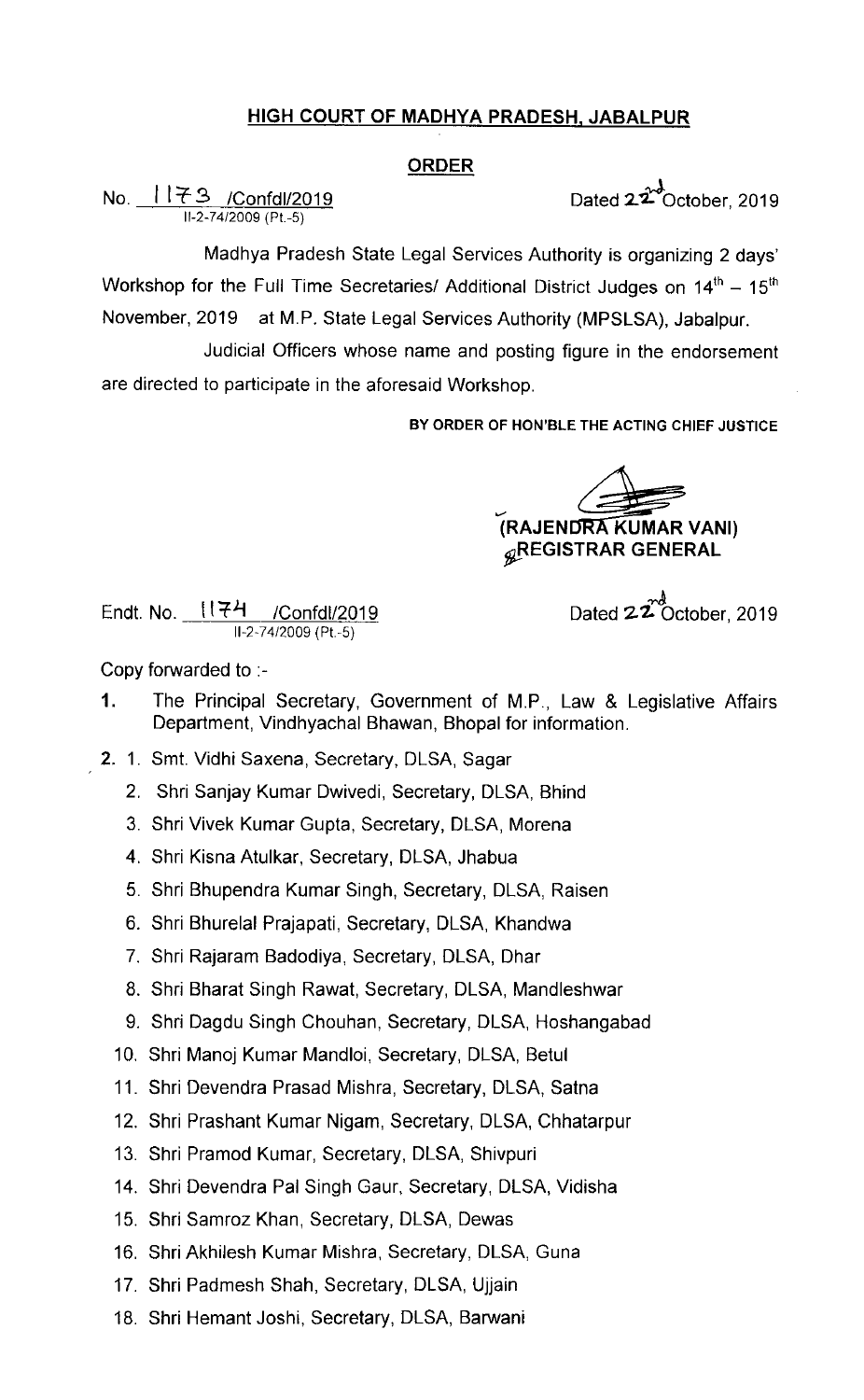## HIGH COURT OF MADHYA PRADESH, JABALPUR

### ORDER

No.  $1173$  /Confdl/2019 Dated  $22^{\lambda}$ October, 2019 11-2-74/2009 (Pt -5)

Madhya Pradesh State Legal Services Authority is organizing 2 days' Workshop for the Full Time Secretaries/ Additional District Judges on  $14<sup>th</sup> - 15<sup>th</sup>$ November, 2019 at M.P. State Legal services Authority (MPSLSA), Jabalpur.

Judicial Officers whose name and posting figure in the endorsement are directed to participate in the aforesaid Workshop.

BY ORDER OF HON'BLE THE ACTING CHIEF JUSTICE

.<br>ب (RAJEN gREGISTRAR GENERAL

Endt. No. 1174 /Confdl/2019  $11 - 2 - 74/2009$  (Pt. -5)

Dated  $22^{\frac{nd}{C}}$ October, 2019

Copy forwarded to :-

- 1. The Principal Secretary, Government of M.P., Law & Legislative Affairs Department, Vindhyachal Bhawan, Bhopal for information.
- 2.1. Smt. Vidhi Saxena, Secretary, DLSA, Sagar
	- 2. Shri Sanjay Kumar Dwivedi, Secretary, DLSA, Bhind
	- 3. Shri Vivek Kumar Gupta, Secretary, DLSA, Morena
	- 4. Shri Kisna Atulkar, Secretary, DLSA, Jhabua
	- 5. Shri Bhupendra Kumar Singh, Secretary, DLSA, Raisen
	- 6. Shri Bhurelal Prajapati, Secretary, DLSA, Khandwa
	- 7. Shri Rajaram Badodiya, Secretary, DLSA, Dhar
	- 8. Shri Bharat Singh Rawat, Secretary, DLSA, Mandleshwar
	- 9. Shri Dagdu Singh Chouhan, Secretary, DLSA, Hoshangabad
	- 10. Shri Manoj Kumar Mandloi, Secretary, DLSA, Betul
	- 11. Shri Devendra Prasad Mishra, Secretary, DLSA, Satna
	- 12. Shri Prashant Kumar Nigam, Secretary, DLSA, Chhatarpur
	- 13. Shri Pramod Kumar, Secretary, DLSA, Shivpuri
	- 14. Shri Devendra Pal Singh Gaur, Secretary, DLSA, Vidisha
	- 15. Shri Samroz Khan, Secretary, DLSA, Dewas
	- 16. Shri Akhilesh Kumar Mishra, Secretary, DLSA, Guna
	- 17. Shri Padmesh Shah, Secretary, DLSA, Ujjain
	- 18. Shri Hemant Joshi, Secretary, DLSA, Barwani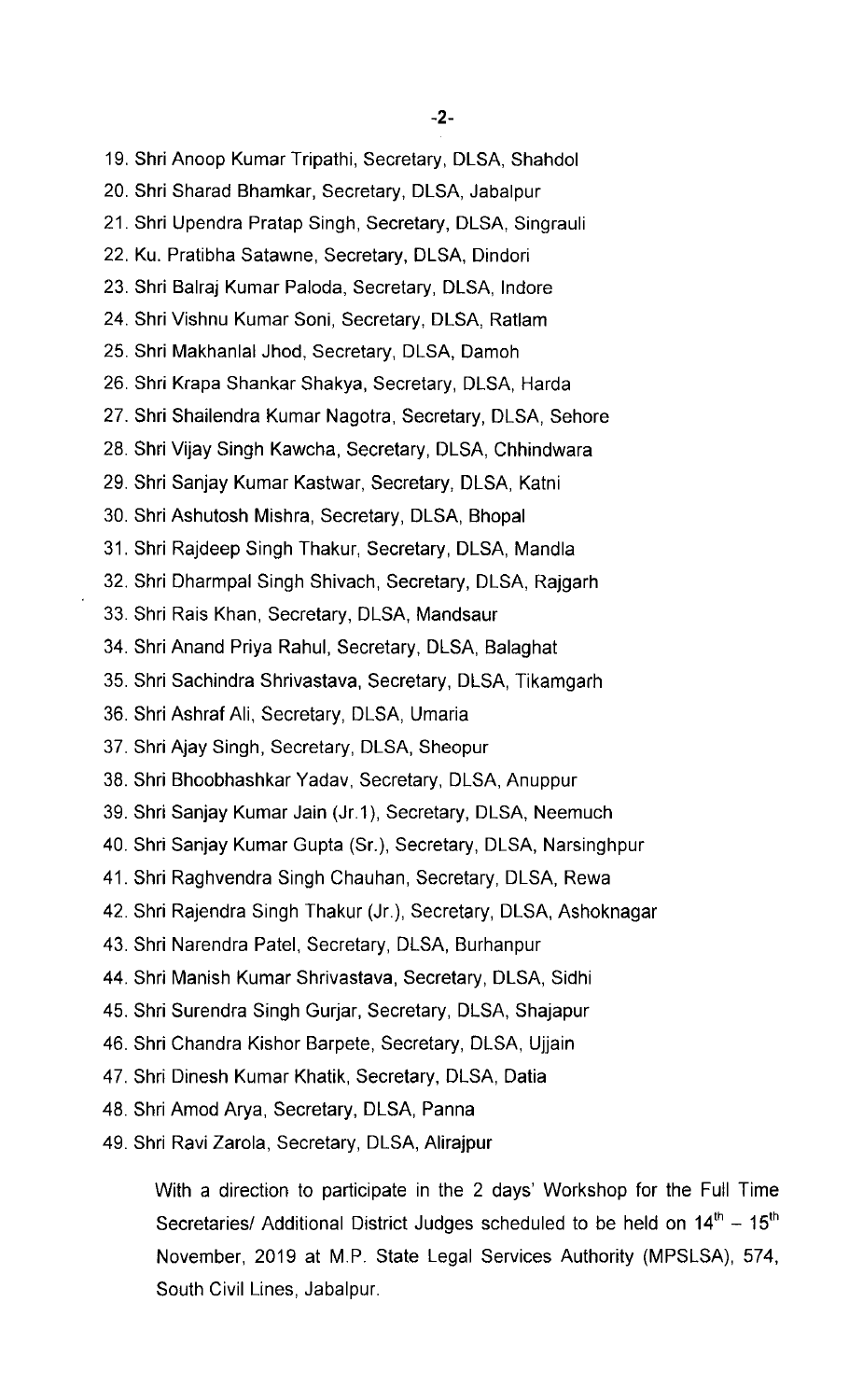19. Shri Anoop Kumar Tripathi, Secretary, DLSA, Shahdol 20. Shri Sharad Bhamkar, Secretary, DLSA, Jabalpur 21. Shri Upendra Pratap Singh, Secretary, DLSA, Singrauli 22. Ku. Pratibha Satawne, Secretary, DLSA, Dindori 23. Shri Balraj Kumar Paloda, Secretary, DLSA, lndore 24. Shri Vishnu Kumar Soni, Secretary, DLSA, Ratlam 25. Shri Makhanlal Jhod, Secretary, DLSA, Damoh 26. Shri Krapa Shankar Shakya, Secretary, DLSA, Harda 27. Shri Shailendra Kumar Nagotra, Secretary, DLSA, Sehore 28. Shri Vijay Singh Kawcha, Secretary, DLSA, Chhindwara 29. Shri Sanjay Kumar Kastwar, Secretary, DLSA, Katni 30. Shri Ashutosh Mishra, Secretary, DLSA, Bhopal 31. Shri Rajdeep Singh Thakur, Secretary, DLSA, Mandla 32. Shri Dharmpal Singh Shivach, Secretary, DLSA, Rajgarh 33. Shri Rais Khan, Secretary, DLSA, Mandsaur 34. Shri Anand Priya Rahul, Secretary, DLSA, Balaghat 35. Shri Sachindra Shrivastava, Secretary, DLSA, Tikamgarh 36. Shri Ashraf Ali, Secretary, DLSA, Umaria 37. Shri Ajay Singh, Secretary, DLSA, Sheopur 38. Shri Bhoobhashkar Yadav, Secretary, DLSA, Anuppur 39. Shri Sanjay Kumar Jain (Jr.1 ), Secretary, DLSA, Neemuch 40. Shri Sanjay Kumar Gupta (Sr.), Secretary, DLSA, Narsinghpur 41. Shri Raghvendra Singh Chauhan, Secretary, DLSA, Rewa 42. Shri Rajendra Singh Thakur (Jr.), Secretary, DLSA, Ashoknagar 43. Shri Narendra Patel, Secretary, DLSA, Burhanpur 44. Shri Manish Kumar Shrivastava, Secretary, DLSA, Sidhi 45. Shri Surendra Singh Gurjar, Secretary, DLSA, Shajapur 46. Shri Chandra Kishor Barpete, Secretary, DLSA, Ujjain 47. Shri Dinesh Kumar Khatik, Secretary, DLSA, Datia 48. Shri Amod Arya, Secretary, DLSA, Panna 49. Shri Ravi Zarola, Secretary, DLSA, Alirajpur

With a direction to participate in the 2 days' Workshop for the Full Time Secretaries/ Additional District Judges scheduled to be held on  $14<sup>th</sup> - 15<sup>th</sup>$ November, 2019 at M.P. State Legal Services Authority (MPSLSA), 574, South Civil Lines, Jabalpur.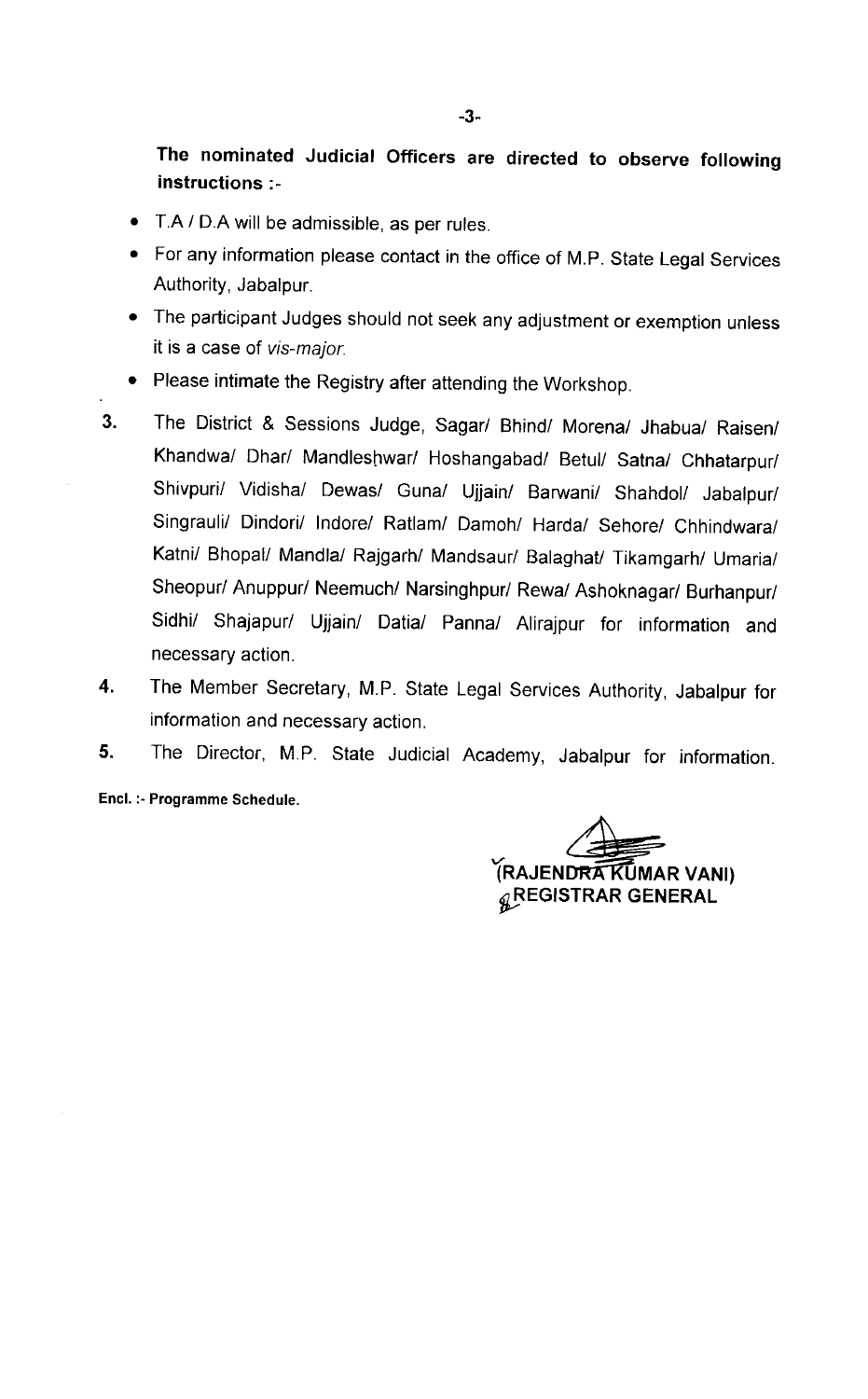The nominated Judicial Officers are directed to observe following instructions :-

- T.A / D.A will be admissible, as per rules.
- For any information please contact in the office of M.P. State Legal Services Authority, Jabalpur.
- The participant Judges should not seek any adjustment or exemption unless it is a case of vis-major.
- Please intimate the Registry after attending the Workshop.
- 3. The District & Sessions Judge, Sagar/ Bhind/ Morena/ Jhabua/ Raisen/ Khandwa/ Dhar/ Mandleshwar/ Hoshangabad/ Betul/ Satna/ Chhatarpur/ Shivpuri/ Vidisha/ Dewas/ Guna/ Ujjain/ Barwani/ Shahdol/ Jabalpur/ Singrauli/ Dindori/ lndore/ Ratlam/ Damoh/ Harda/ Sehore/ Chhindwara/ Katni/ Bhopal/ Mandla/ Rajgarh/ Mandsaur/ Balaghat/ Tikamgarh/ Umaria/ Sheopur/ Anuppur/ Neemuch/ Narsinghpur/ Rewa/ Ashoknagar/ Burhanpur/ Sidhi/ Shajapur/ Ujjain/ Datia/ Panna/ Alirajpur for information and necessary action.
- The Member Secretary, M.P. State Legal Services Authority, Jabalpur for 4. information and necessary action.
- The Director, M.P. State Judicial Academy, Jabalpur for information. 5.

Encl. :-Programme Schedule.

(RAJENDRA KUMAR VANI)  $_{\mathscr{Q}}$ REGISTRAR GENERAL